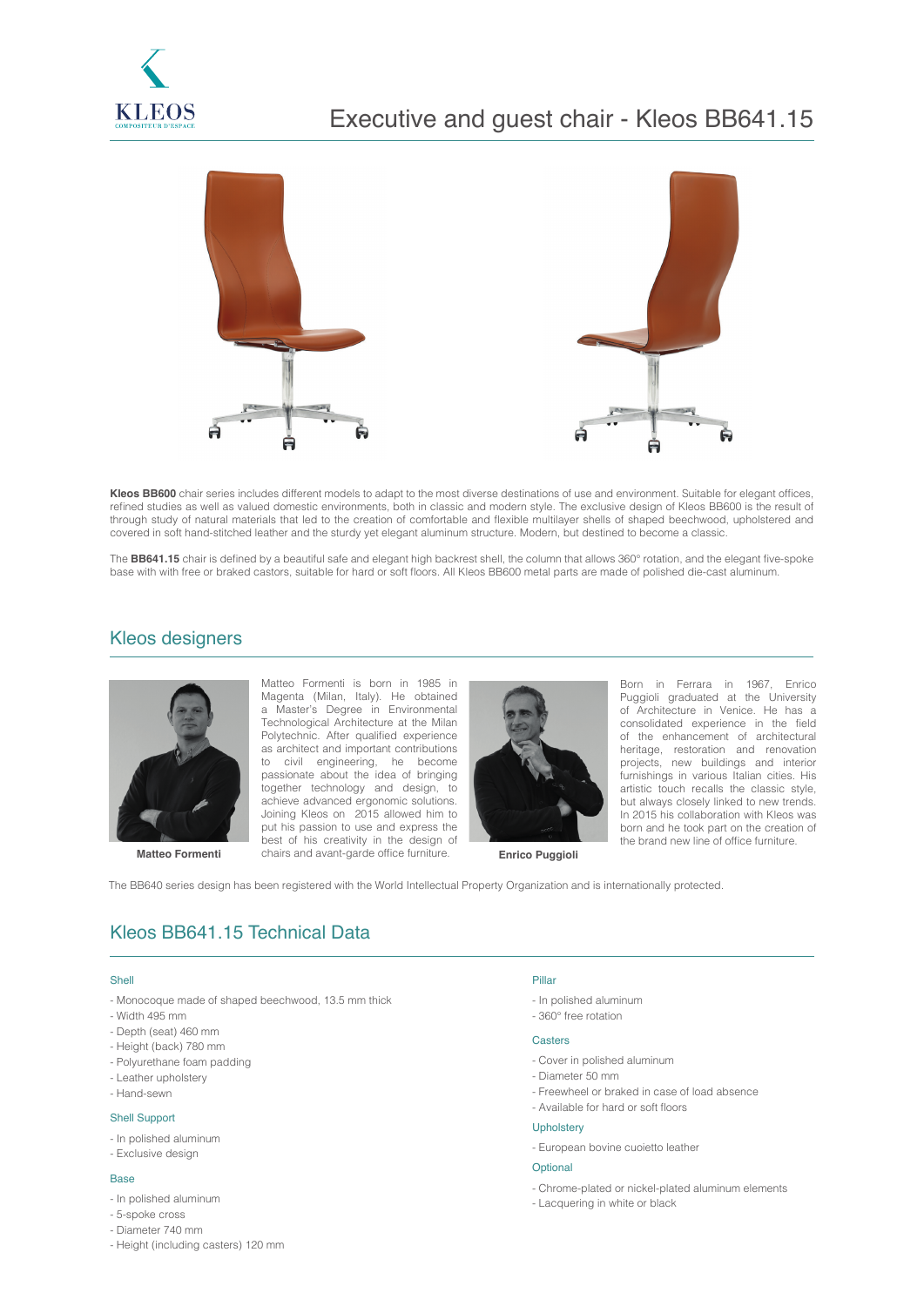

# Executive and guest chair - Kleos BB641.15



**Kleos BB600** chair series includes different models to adapt to the most diverse destinations of use and environment. Suitable for elegant offices, refined studies as well as valued domestic environments, both in classic and modern style. The exclusive design of Kleos BB600 is the result of through study of natural materials that led to the creation of comfortable and flexible multilayer shells of shaped beechwood, upholstered and covered in soft hand-stitched leather and the sturdy yet elegant aluminum structure. Modern, but destined to become a classic.

The BB641.15 chair is defined by a beautiful safe and elegant high backrest shell, the column that allows 360° rotation, and the elegant five-spoke base with with free or braked castors, suitable for hard or soft floors. All Kleos BB600 metal parts are made of polished die-cast aluminum.

## Kleos designers



**Matteo Formenti Enrico Puggioli** chairs and avant-garde office furniture. **Enrico Puggioli** Matteo Formenti is born in 1985 in Magenta (Milan, Italy). He obtained a Master's Degree in Environmental Technological Architecture at the Milan Polytechnic. After qualified experience as architect and important contributions to civil engineering, he become passionate about the idea of bringing together technology and design, to achieve advanced ergonomic solutions. Joining Kleos on 2015 allowed him to put his passion to use and express the best of his creativity in the design of



Born in Ferrara in 1967, Enrico Puggioli graduated at the University of Architecture in Venice. He has a consolidated experience in the field of the enhancement of architectural heritage, restoration and renovation projects, new buildings and interior furnishings in various Italian cities. His artistic touch recalls the classic style, but always closely linked to new trends. In 2015 his collaboration with Kleos was born and he took part on the creation of the brand new line of office furniture.

The BB640 series design has been registered with the World Intellectual Property Organization and is internationally protected.

## Kleos BB641.15 Technical Data

### Shell

- Monocoque made of shaped beechwood, 13.5 mm thick
- Width 495 mm
- Depth (seat) 460 mm
- Height (back) 780 mm
- Polyurethane foam padding
- Leather upholstery
- Hand-sewn

#### Shell Support

- In polished aluminum
- Exclusive design

#### Base

- In polished aluminum
- 5-spoke cross
- Diameter 740 mm
- Height (including casters) 120 mm

## Pillar

- In polished aluminum
- 360° free rotation

### **Casters**

- Cover in polished aluminum
- Diameter 50 mm
- Freewheel or braked in case of load absence
- Available for hard or soft floors

### Upholstery

- European bovine cuoietto leather

#### **Optional**

- Chrome-plated or nickel-plated aluminum elements
- Lacquering in white or black